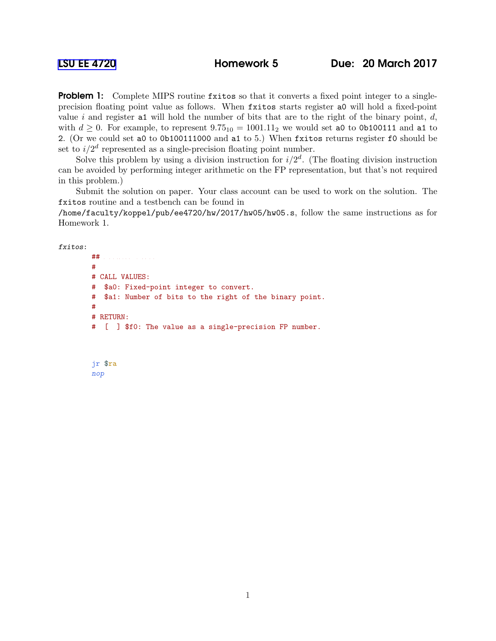**Problem 1:** Complete MIPS routine fxitos so that it converts a fixed point integer to a singleprecision floating point value as follows. When fxitos starts register a0 will hold a fixed-point value i and register at will hold the number of bits that are to the right of the binary point,  $d$ , with  $d \geq 0$ . For example, to represent  $9.75_{10} = 1001.11_2$  we would set a0 to 0b100111 and a1 to 2. (Or we could set a0 to 0b100111000 and a1 to 5.) When fxitos returns register f0 should be set to  $i/2<sup>d</sup>$  represented as a single-precision floating point number.

Solve this problem by using a division instruction for  $i/2^d$ . (The floating division instruction can be avoided by performing integer arithmetic on the FP representation, but that's not required in this problem.)

Submit the solution on paper. Your class account can be used to work on the solution. The fxitos routine and a testbench can be found in

/home/faculty/koppel/pub/ee4720/hw/2017/hw05/hw05.s, follow the same instructions as for Homework 1.

fxitos:

```
## R e g i s s e r U s a g e
#
# CALL VALUES:
# $a0: Fixed-point integer to convert.
# $a1: Number of bits to the right of the binary point.
#
# RETURN:
# [ ] $f0: The value as a single-precision FP number.
```

```
jr $ra
nop
```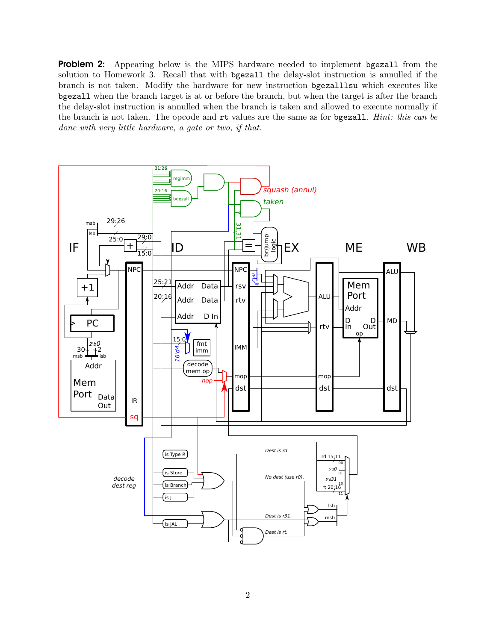**Problem 2:** Appearing below is the MIPS hardware needed to implement bgezall from the solution to Homework 3. Recall that with bgezall the delay-slot instruction is annulled if the branch is not taken. Modify the hardware for new instruction bgezalllsu which executes like bgezall when the branch target is at or before the branch, but when the target is after the branch the delay-slot instruction is annulled when the branch is taken and allowed to execute normally if the branch is not taken. The opcode and rt values are the same as for bgezall. *Hint: this can be done with very little hardware, a gate or two, if that.*

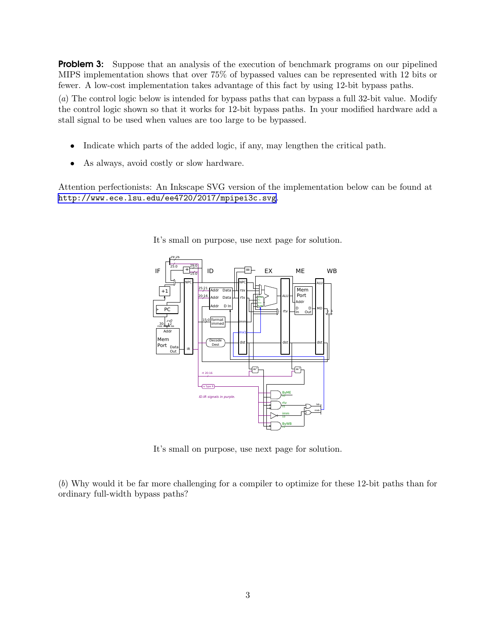**Problem 3:** Suppose that an analysis of the execution of benchmark programs on our pipelined MIPS implementation shows that over 75% of bypassed values can be represented with 12 bits or fewer. A low-cost implementation takes advantage of this fact by using 12-bit bypass paths.

(*a*) The control logic below is intended for bypass paths that can bypass a full 32-bit value. Modify the control logic shown so that it works for 12-bit bypass paths. In your modified hardware add a stall signal to be used when values are too large to be bypassed.

- Indicate which parts of the added logic, if any, may lengthen the critical path.
- As always, avoid costly or slow hardware.

Attention perfectionists: An Inkscape SVG version of the implementation below can be found at <http://www.ece.lsu.edu/ee4720/2017/mpipei3c.svg>.



It's small on purpose, use next page for solution.

It's small on purpose, use next page for solution.

(*b*) Why would it be far more challenging for a compiler to optimize for these 12-bit paths than for ordinary full-width bypass paths?